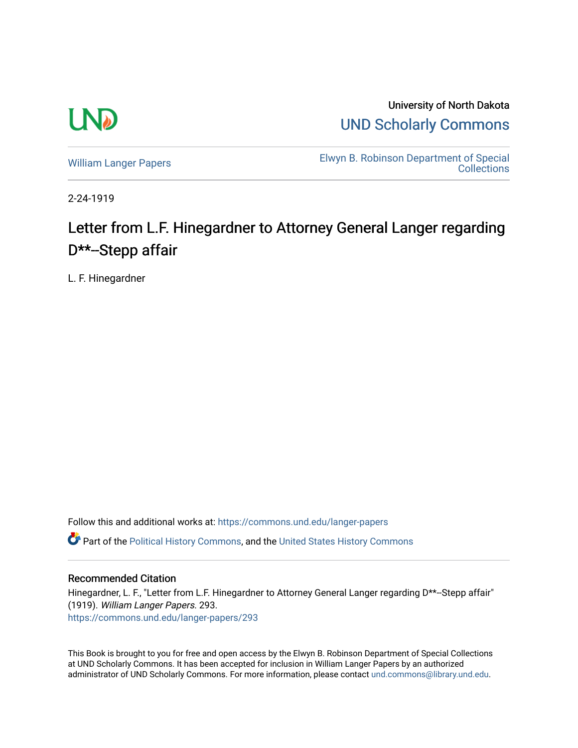

University of North Dakota [UND Scholarly Commons](https://commons.und.edu/) 

[William Langer Papers](https://commons.und.edu/langer-papers) **Elwyn B. Robinson Department of Special** [Collections](https://commons.und.edu/archives) 

2-24-1919

## Letter from L.F. Hinegardner to Attorney General Langer regarding D\*\*--Stepp affair

L. F. Hinegardner

Follow this and additional works at: [https://commons.und.edu/langer-papers](https://commons.und.edu/langer-papers?utm_source=commons.und.edu%2Flanger-papers%2F293&utm_medium=PDF&utm_campaign=PDFCoverPages)  **C** Part of the [Political History Commons,](http://network.bepress.com/hgg/discipline/505?utm_source=commons.und.edu%2Flanger-papers%2F293&utm_medium=PDF&utm_campaign=PDFCoverPages) and the [United States History Commons](http://network.bepress.com/hgg/discipline/495?utm_source=commons.und.edu%2Flanger-papers%2F293&utm_medium=PDF&utm_campaign=PDFCoverPages)

## Recommended Citation

Hinegardner, L. F., "Letter from L.F. Hinegardner to Attorney General Langer regarding D\*\*--Stepp affair" (1919). William Langer Papers. 293. [https://commons.und.edu/langer-papers/293](https://commons.und.edu/langer-papers/293?utm_source=commons.und.edu%2Flanger-papers%2F293&utm_medium=PDF&utm_campaign=PDFCoverPages) 

This Book is brought to you for free and open access by the Elwyn B. Robinson Department of Special Collections at UND Scholarly Commons. It has been accepted for inclusion in William Langer Papers by an authorized administrator of UND Scholarly Commons. For more information, please contact [und.commons@library.und.edu.](mailto:und.commons@library.und.edu)